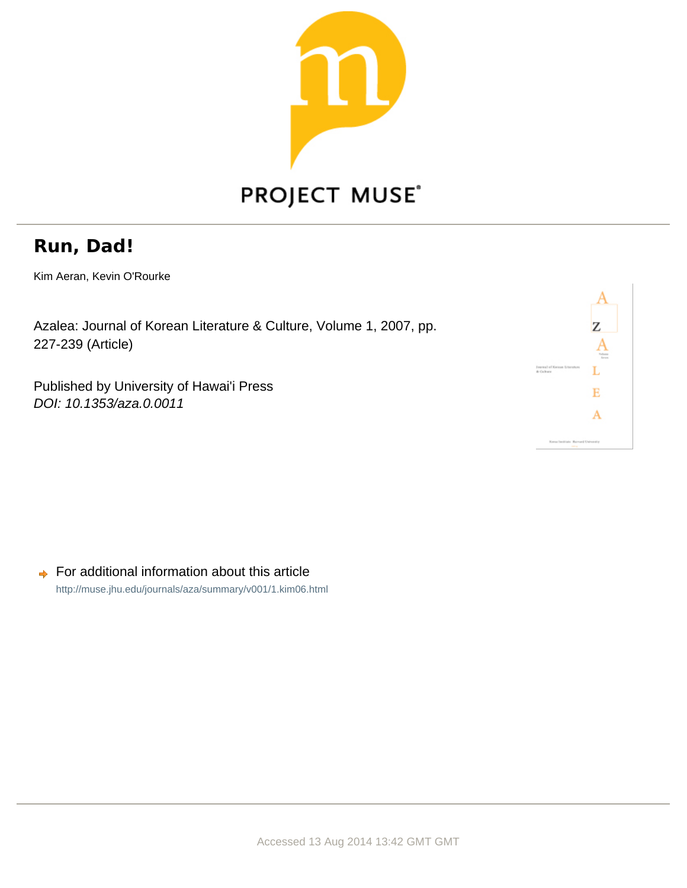

## **PROJECT MUSE®**

## **Run, Dad!**

Kim Aeran, Kevin O'Rourke

Azalea: Journal of Korean Literature & Culture, Volume 1, 2007, pp. 227-239 (Article)

Published by University of Hawai'i Press DOI: 10.1353/aza.0.0011

|                                                  | Z               |
|--------------------------------------------------|-----------------|
|                                                  | Tobota<br>Arres |
| <b>Fournal of Kerean Literature</b><br>A Galrary |                 |
|                                                  |                 |
|                                                  |                 |
| Keess Institute Marcuril University              |                 |
| <b>SELL</b>                                      |                 |

For additional information about this article  $\Rightarrow$ <http://muse.jhu.edu/journals/aza/summary/v001/1.kim06.html>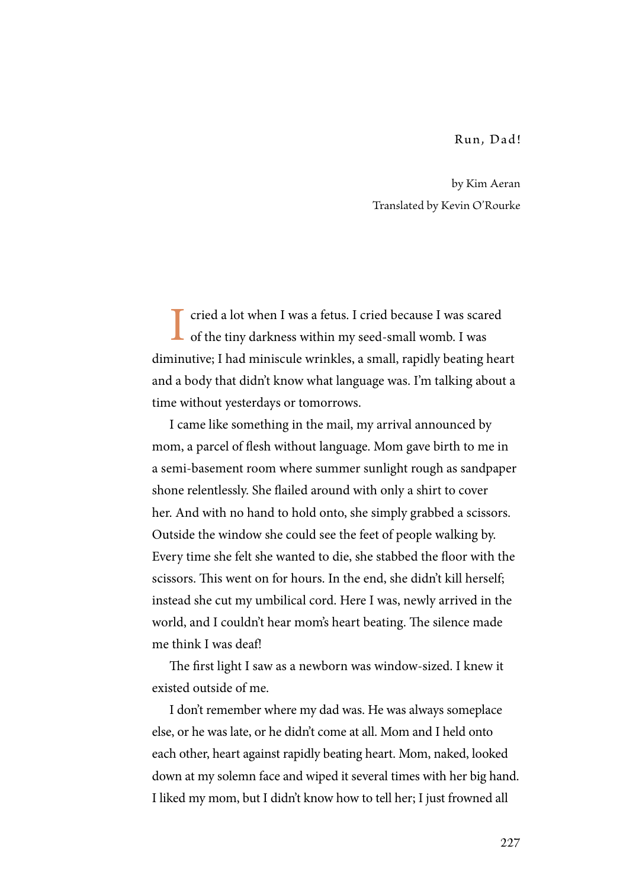Run, Dad!

by Kim Aeran Translated by Kevin O'Rourke

I cried a lot when I was a fetus. I cried because I was scared **L** of the tiny darkness within my seed-small womb. I was diminutive; I had miniscule wrinkles, a small, rapidly beating heart and a body that didn't know what language was. I'm talking about a time without yesterdays or tomorrows.

I came like something in the mail, my arrival announced by mom, a parcel of flesh without language. Mom gave birth to me in a semi-basement room where summer sunlight rough as sandpaper shone relentlessly. She flailed around with only a shirt to cover her. And with no hand to hold onto, she simply grabbed a scissors. Outside the window she could see the feet of people walking by. Every time she felt she wanted to die, she stabbed the floor with the scissors. This went on for hours. In the end, she didn't kill herself; instead she cut my umbilical cord. Here I was, newly arrived in the world, and I couldn't hear mom's heart beating. The silence made me think I was deaf!

The first light I saw as a newborn was window-sized. I knew it existed outside of me.

I don't remember where my dad was. He was always someplace else, or he was late, or he didn't come at all. Mom and I held onto each other, heart against rapidly beating heart. Mom, naked, looked down at my solemn face and wiped it several times with her big hand. I liked my mom, but I didn't know how to tell her; I just frowned all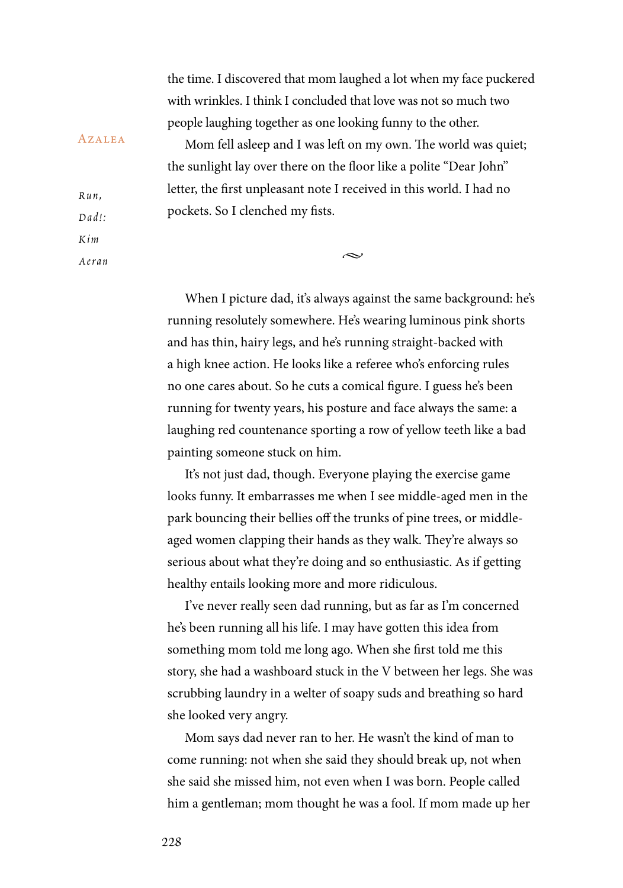the time. I discovered that mom laughed a lot when my face puckered with wrinkles. I think I concluded that love was not so much two people laughing together as one looking funny to the other.

Mom fell asleep and I was left on my own. The world was quiet; the sunlight lay over there on the floor like a polite "Dear John" letter, the first unpleasant note I received in this world. I had no pockets. So I clenched my fists.

 $\sim$ 

When I picture dad, it's always against the same background: he's running resolutely somewhere. He's wearing luminous pink shorts and has thin, hairy legs, and he's running straight-backed with a high knee action. He looks like a referee who's enforcing rules no one cares about. So he cuts a comical figure. I guess he's been running for twenty years, his posture and face always the same: a laughing red countenance sporting a row of yellow teeth like a bad painting someone stuck on him.

It's not just dad, though. Everyone playing the exercise game looks funny. It embarrasses me when I see middle-aged men in the park bouncing their bellies off the trunks of pine trees, or middleaged women clapping their hands as they walk. They're always so serious about what they're doing and so enthusiastic. As if getting healthy entails looking more and more ridiculous.

I've never really seen dad running, but as far as I'm concerned he's been running all his life. I may have gotten this idea from something mom told me long ago. When she first told me this story, she had a washboard stuck in the V between her legs. She was scrubbing laundry in a welter of soapy suds and breathing so hard she looked very angry.

Mom says dad never ran to her. He wasn't the kind of man to come running: not when she said they should break up, not when she said she missed him, not even when I was born. People called him a gentleman; mom thought he was a fool. If mom made up her

## **AZALEA**

*Ru n ,*   $D$ *ad !* : *K i m* 

*Ae r a n*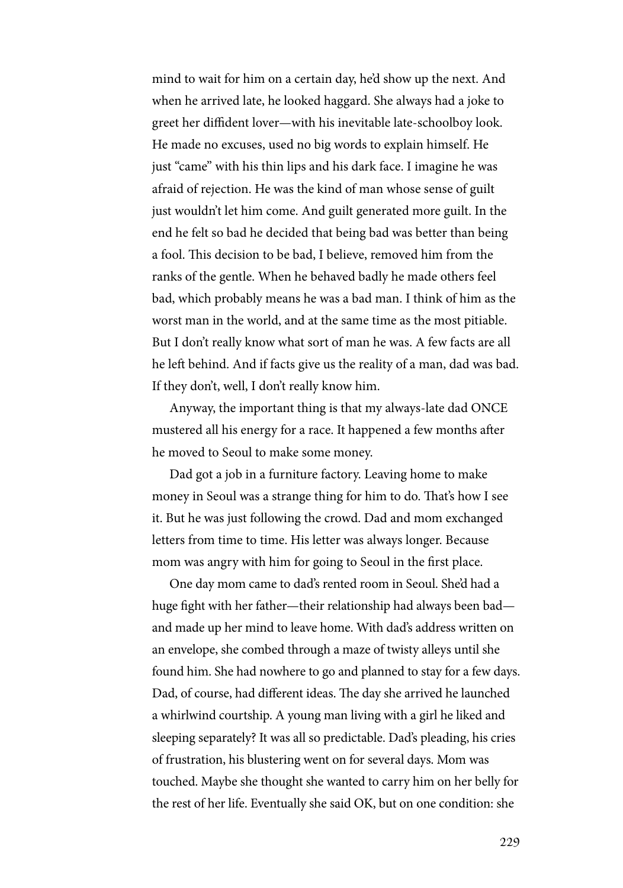mind to wait for him on a certain day, he'd show up the next. And when he arrived late, he looked haggard. She always had a joke to greet her diffident lover—with his inevitable late-schoolboy look. He made no excuses, used no big words to explain himself. He just "came" with his thin lips and his dark face. I imagine he was afraid of rejection. He was the kind of man whose sense of guilt just wouldn't let him come. And guilt generated more guilt. In the end he felt so bad he decided that being bad was better than being a fool. This decision to be bad, I believe, removed him from the ranks of the gentle. When he behaved badly he made others feel bad, which probably means he was a bad man. I think of him as the worst man in the world, and at the same time as the most pitiable. But I don't really know what sort of man he was. A few facts are all he left behind. And if facts give us the reality of a man, dad was bad. If they don't, well, I don't really know him.

Anyway, the important thing is that my always-late dad ONCE mustered all his energy for a race. It happened a few months after he moved to Seoul to make some money.

Dad got a job in a furniture factory. Leaving home to make money in Seoul was a strange thing for him to do. That's how I see it. But he was just following the crowd. Dad and mom exchanged letters from time to time. His letter was always longer. Because mom was angry with him for going to Seoul in the first place.

One day mom came to dad's rented room in Seoul. She'd had a huge fight with her father—their relationship had always been bad and made up her mind to leave home. With dad's address written on an envelope, she combed through a maze of twisty alleys until she found him. She had nowhere to go and planned to stay for a few days. Dad, of course, had different ideas. The day she arrived he launched a whirlwind courtship. A young man living with a girl he liked and sleeping separately? It was all so predictable. Dad's pleading, his cries of frustration, his blustering went on for several days. Mom was touched. Maybe she thought she wanted to carry him on her belly for the rest of her life. Eventually she said OK, but on one condition: she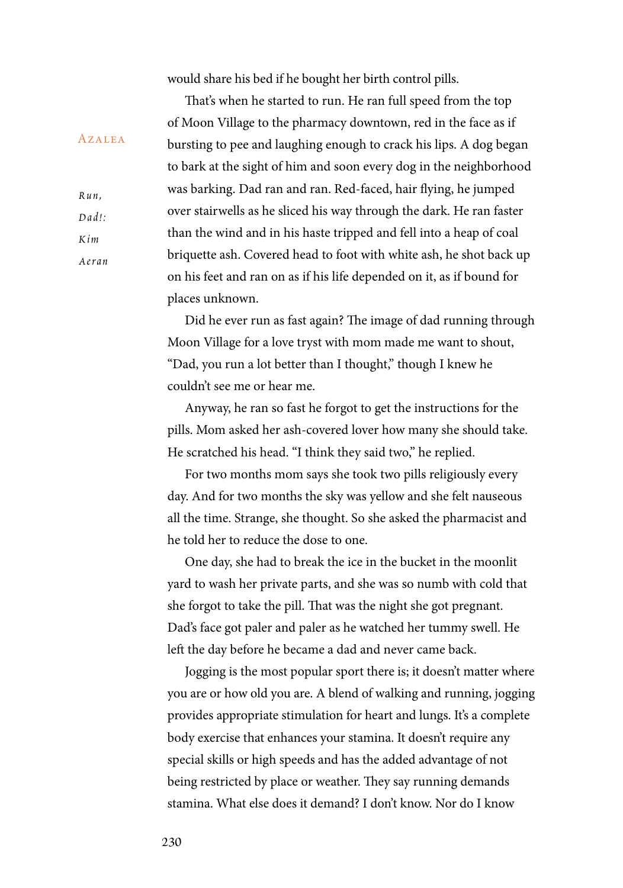would share his bed if he bought her birth control pills.

That's when he started to run. He ran full speed from the top of Moon Village to the pharmacy downtown, red in the face as if bursting to pee and laughing enough to crack his lips. A dog began to bark at the sight of him and soon every dog in the neighborhood was barking. Dad ran and ran. Red-faced, hair flying, he jumped over stairwells as he sliced his way through the dark. He ran faster than the wind and in his haste tripped and fell into a heap of coal briquette ash. Covered head to foot with white ash, he shot back up on his feet and ran on as if his life depended on it, as if bound for places unknown.

Did he ever run as fast again? The image of dad running through Moon Village for a love tryst with mom made me want to shout, "Dad, you run a lot better than I thought," though I knew he couldn't see me or hear me.

Anyway, he ran so fast he forgot to get the instructions for the pills. Mom asked her ash-covered lover how many she should take. He scratched his head. "I think they said two," he replied.

For two months mom says she took two pills religiously every day. And for two months the sky was yellow and she felt nauseous all the time. Strange, she thought. So she asked the pharmacist and he told her to reduce the dose to one.

One day, she had to break the ice in the bucket in the moonlit yard to wash her private parts, and she was so numb with cold that she forgot to take the pill. That was the night she got pregnant. Dad's face got paler and paler as he watched her tummy swell. He left the day before he became a dad and never came back.

Jogging is the most popular sport there is; it doesn't matter where you are or how old you are. A blend of walking and running, jogging provides appropriate stimulation for heart and lungs. It's a complete body exercise that enhances your stamina. It doesn't require any special skills or high speeds and has the added advantage of not being restricted by place or weather. They say running demands stamina. What else does it demand? I don't know. Nor do I know

*Ru n ,*   $D$ *ad !* : *K i m Ae r a n*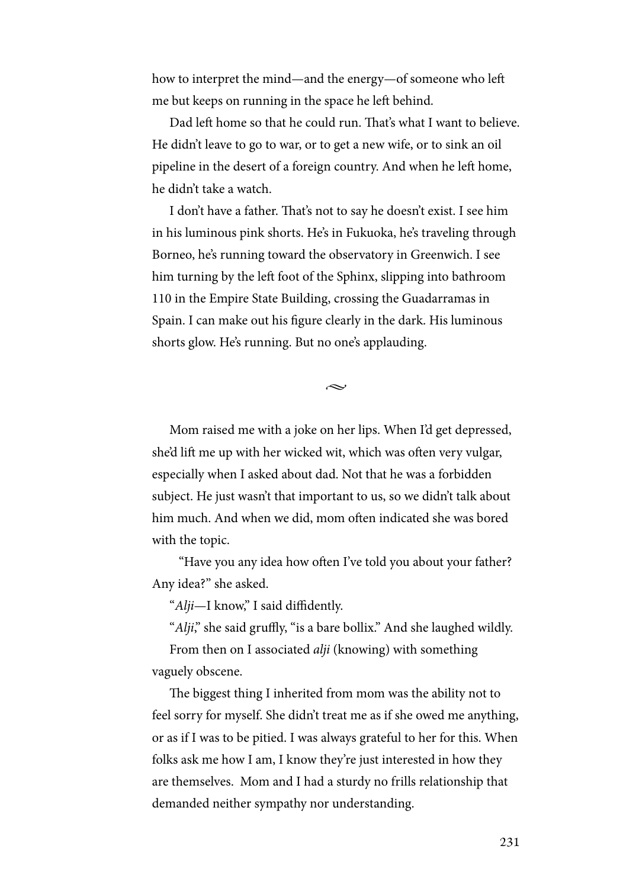how to interpret the mind—and the energy—of someone who left me but keeps on running in the space he left behind.

Dad left home so that he could run. That's what I want to believe. He didn't leave to go to war, or to get a new wife, or to sink an oil pipeline in the desert of a foreign country. And when he left home, he didn't take a watch.

I don't have a father. That's not to say he doesn't exist. I see him in his luminous pink shorts. He's in Fukuoka, he's traveling through Borneo, he's running toward the observatory in Greenwich. I see him turning by the left foot of the Sphinx, slipping into bathroom 110 in the Empire State Building, crossing the Guadarramas in Spain. I can make out his figure clearly in the dark. His luminous shorts glow. He's running. But no one's applauding.

 $\sim$ 

Mom raised me with a joke on her lips. When I'd get depressed, she'd lift me up with her wicked wit, which was often very vulgar, especially when I asked about dad. Not that he was a forbidden subject. He just wasn't that important to us, so we didn't talk about him much. And when we did, mom often indicated she was bored with the topic.

 "Have you any idea how often I've told you about your father? Any idea?" she asked.

"*Alji*—I know," I said diffidently.

"*Alji*," she said gruffly, "is a bare bollix." And she laughed wildly.

From then on I associated *alji* (knowing) with something vaguely obscene.

The biggest thing I inherited from mom was the ability not to feel sorry for myself. She didn't treat me as if she owed me anything, or as if I was to be pitied. I was always grateful to her for this. When folks ask me how I am, I know they're just interested in how they are themselves. Mom and I had a sturdy no frills relationship that demanded neither sympathy nor understanding.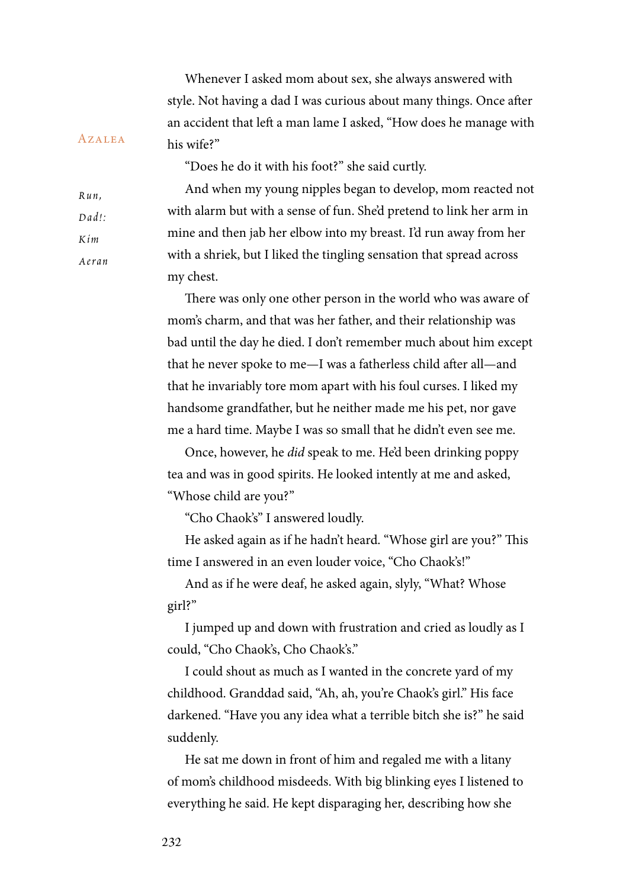Whenever I asked mom about sex, she always answered with style. Not having a dad I was curious about many things. Once after an accident that left a man lame I asked, "How does he manage with his wife?"

"Does he do it with his foot?" she said curtly.

And when my young nipples began to develop, mom reacted not with alarm but with a sense of fun. She'd pretend to link her arm in mine and then jab her elbow into my breast. I'd run away from her with a shriek, but I liked the tingling sensation that spread across my chest.

There was only one other person in the world who was aware of mom's charm, and that was her father, and their relationship was bad until the day he died. I don't remember much about him except that he never spoke to me—I was a fatherless child after all—and that he invariably tore mom apart with his foul curses. I liked my handsome grandfather, but he neither made me his pet, nor gave me a hard time. Maybe I was so small that he didn't even see me.

Once, however, he *did* speak to me. He'd been drinking poppy tea and was in good spirits. He looked intently at me and asked, "Whose child are you?"

"Cho Chaok's" I answered loudly.

He asked again as if he hadn't heard. "Whose girl are you?" This time I answered in an even louder voice, "Cho Chaok's!"

And as if he were deaf, he asked again, slyly, "What? Whose girl?"

I jumped up and down with frustration and cried as loudly as I could, "Cho Chaok's, Cho Chaok's."

I could shout as much as I wanted in the concrete yard of my childhood. Granddad said, "Ah, ah, you're Chaok's girl." His face darkened. "Have you any idea what a terrible bitch she is?" he said suddenly.

He sat me down in front of him and regaled me with a litany of mom's childhood misdeeds. With big blinking eyes I listened to everything he said. He kept disparaging her, describing how she

*Ru n ,*   $D$ *ad* $\cdot$ *K i m Ae r a n*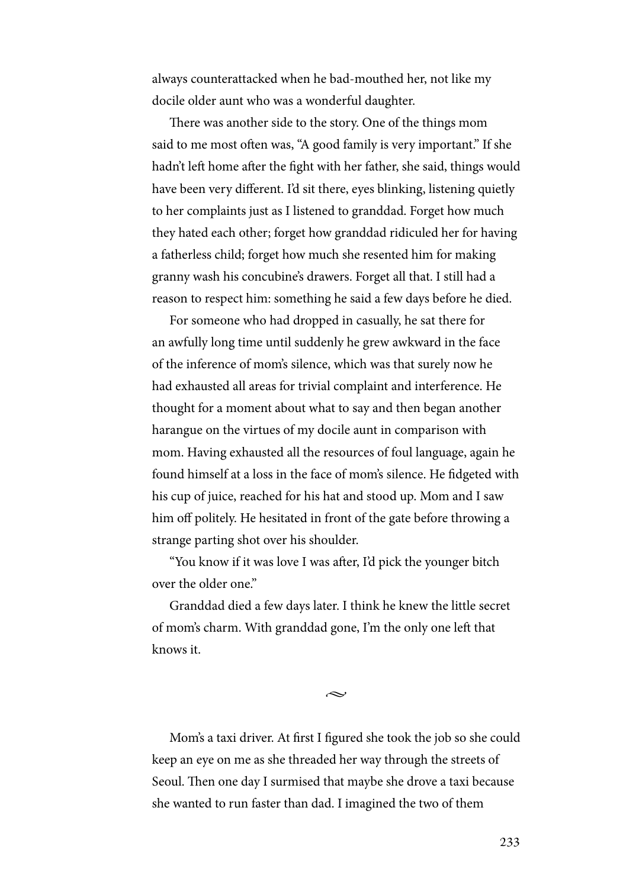always counterattacked when he bad-mouthed her, not like my docile older aunt who was a wonderful daughter.

There was another side to the story. One of the things mom said to me most often was, "A good family is very important." If she hadn't left home after the fight with her father, she said, things would have been very different. I'd sit there, eyes blinking, listening quietly to her complaints just as I listened to granddad. Forget how much they hated each other; forget how granddad ridiculed her for having a fatherless child; forget how much she resented him for making granny wash his concubine's drawers. Forget all that. I still had a reason to respect him: something he said a few days before he died.

For someone who had dropped in casually, he sat there for an awfully long time until suddenly he grew awkward in the face of the inference of mom's silence, which was that surely now he had exhausted all areas for trivial complaint and interference. He thought for a moment about what to say and then began another harangue on the virtues of my docile aunt in comparison with mom. Having exhausted all the resources of foul language, again he found himself at a loss in the face of mom's silence. He fidgeted with his cup of juice, reached for his hat and stood up. Mom and I saw him off politely. He hesitated in front of the gate before throwing a strange parting shot over his shoulder.

"You know if it was love I was after, I'd pick the younger bitch over the older one."

Granddad died a few days later. I think he knew the little secret of mom's charm. With granddad gone, I'm the only one left that knows it.

 $\sim$ 

Mom's a taxi driver. At first I figured she took the job so she could keep an eye on me as she threaded her way through the streets of Seoul. Then one day I surmised that maybe she drove a taxi because she wanted to run faster than dad. I imagined the two of them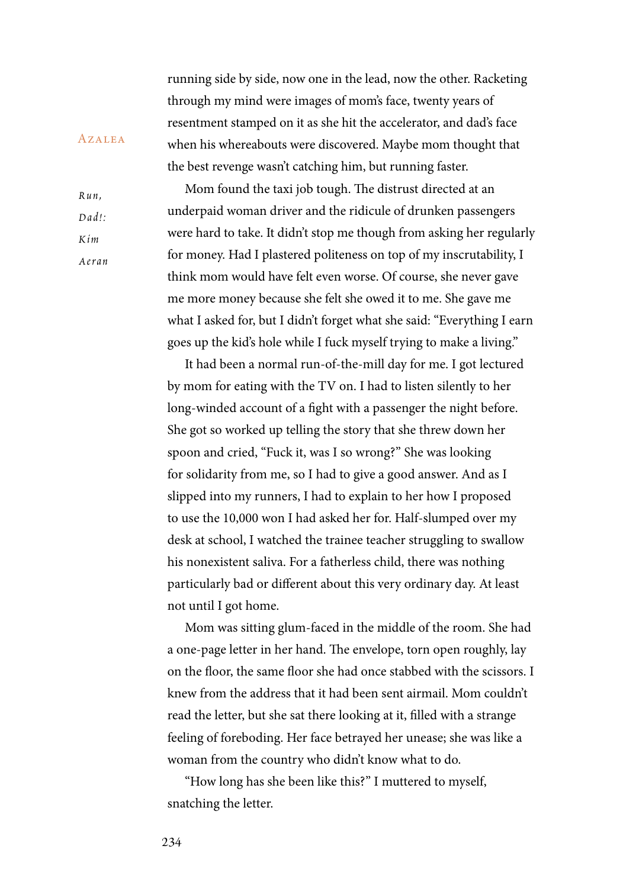running side by side, now one in the lead, now the other. Racketing through my mind were images of mom's face, twenty years of resentment stamped on it as she hit the accelerator, and dad's face when his whereabouts were discovered. Maybe mom thought that the best revenge wasn't catching him, but running faster.

Mom found the taxi job tough. The distrust directed at an underpaid woman driver and the ridicule of drunken passengers were hard to take. It didn't stop me though from asking her regularly for money. Had I plastered politeness on top of my inscrutability, I think mom would have felt even worse. Of course, she never gave me more money because she felt she owed it to me. She gave me what I asked for, but I didn't forget what she said: "Everything I earn goes up the kid's hole while I fuck myself trying to make a living."

It had been a normal run-of-the-mill day for me. I got lectured by mom for eating with the TV on. I had to listen silently to her long-winded account of a fight with a passenger the night before. She got so worked up telling the story that she threw down her spoon and cried, "Fuck it, was I so wrong?" She was looking for solidarity from me, so I had to give a good answer. And as I slipped into my runners, I had to explain to her how I proposed to use the 10,000 won I had asked her for. Half-slumped over my desk at school, I watched the trainee teacher struggling to swallow his nonexistent saliva. For a fatherless child, there was nothing particularly bad or different about this very ordinary day. At least not until I got home.

Mom was sitting glum-faced in the middle of the room. She had a one-page letter in her hand. The envelope, torn open roughly, lay on the floor, the same floor she had once stabbed with the scissors. I knew from the address that it had been sent airmail. Mom couldn't read the letter, but she sat there looking at it, filled with a strange feeling of foreboding. Her face betrayed her unease; she was like a woman from the country who didn't know what to do.

"How long has she been like this?" I muttered to myself, snatching the letter.

**AZALEA** 

 $D$ *ad! K i m* 

*Ru n ,* 

*Ae r a n*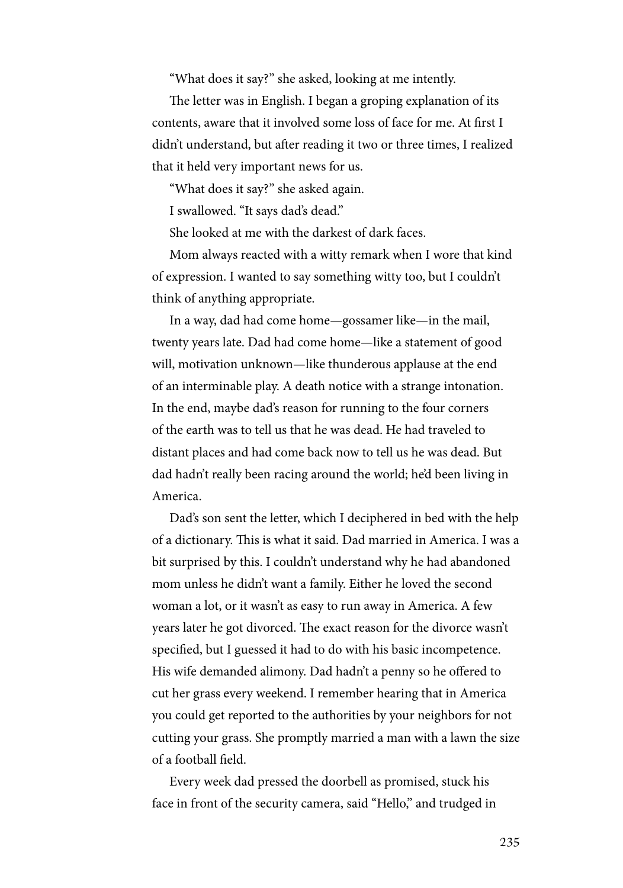"What does it say?" she asked, looking at me intently.

The letter was in English. I began a groping explanation of its contents, aware that it involved some loss of face for me. At first I didn't understand, but after reading it two or three times, I realized that it held very important news for us.

"What does it say?" she asked again.

I swallowed. "It says dad's dead."

She looked at me with the darkest of dark faces.

Mom always reacted with a witty remark when I wore that kind of expression. I wanted to say something witty too, but I couldn't think of anything appropriate.

In a way, dad had come home—gossamer like—in the mail, twenty years late. Dad had come home—like a statement of good will, motivation unknown—like thunderous applause at the end of an interminable play. A death notice with a strange intonation. In the end, maybe dad's reason for running to the four corners of the earth was to tell us that he was dead. He had traveled to distant places and had come back now to tell us he was dead. But dad hadn't really been racing around the world; he'd been living in America.

Dad's son sent the letter, which I deciphered in bed with the help of a dictionary. This is what it said. Dad married in America. I was a bit surprised by this. I couldn't understand why he had abandoned mom unless he didn't want a family. Either he loved the second woman a lot, or it wasn't as easy to run away in America. A few years later he got divorced. The exact reason for the divorce wasn't specified, but I guessed it had to do with his basic incompetence. His wife demanded alimony. Dad hadn't a penny so he offered to cut her grass every weekend. I remember hearing that in America you could get reported to the authorities by your neighbors for not cutting your grass. She promptly married a man with a lawn the size of a football field.

Every week dad pressed the doorbell as promised, stuck his face in front of the security camera, said "Hello," and trudged in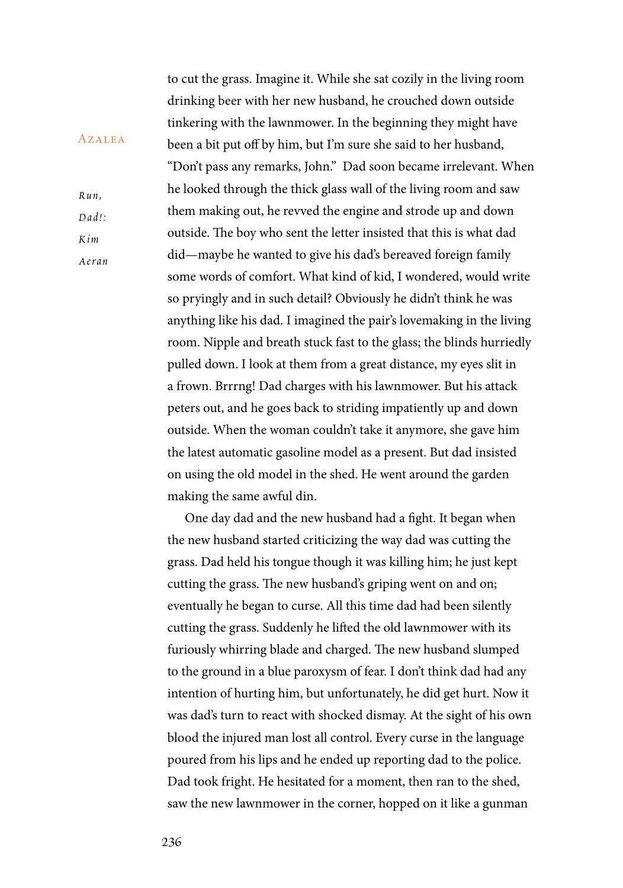to cut the grass. Imagine it. While she sat cozily in the living room drinking beer with her new husband, he crouched down outside tinkering with the lawnmower. In the beginning they might have been a bit put off by him, but I'm sure she said to her husband, "Don't pass any remarks, John." Dad soon became irrelevant. When he looked through the thick glass wall of the living room and saw them making out, he revved the engine and strode up and down outside. The boy who sent the letter insisted that this is what dad did—maybe he wanted to give his dad's bereaved foreign family some words of comfort. What kind of kid, I wondered, would write so pryingly and in such detail? Obviously he didn't think he was anything like his dad. I imagined the pair's lovemaking in the living room. Nipple and breath stuck fast to the glass; the blinds hurriedly pulled down. I look at them from a great distance, my eyes slit in a frown. Brrrng! Dad charges with his lawnmower. But his attack peters out, and he goes back to striding impatiently up and down outside. When the woman couldn't take it anymore, she gave him the latest automatic gasoline model as a present. But dad insisted on using the old model in the shed. He went around the garden making the same awful din.

One day dad and the new husband had a fight. It began when the new husband started criticizing the way dad was cutting the grass. Dad held his tongue though it was killing him; he just kept cutting the grass. The new husband's griping went on and on; eventually he began to curse. All this time dad had been silently cutting the grass. Suddenly he lifted the old lawnmower with its furiously whirring blade and charged. The new husband slumped to the ground in a blue paroxysm of fear. I don't think dad had any intention of hurting him, but unfortunately, he did get hurt. Now it was dad's turn to react with shocked dismay. At the sight of his own blood the injured man lost all control. Every curse in the language poured from his lips and he ended up reporting dad to the police. Dad took fright. He hesitated for a moment, then ran to the shed, saw the new lawnmower in the corner, hopped on it like a gunman

*Ru n ,*   $D$ *ad !* : *K i m Ae r a n*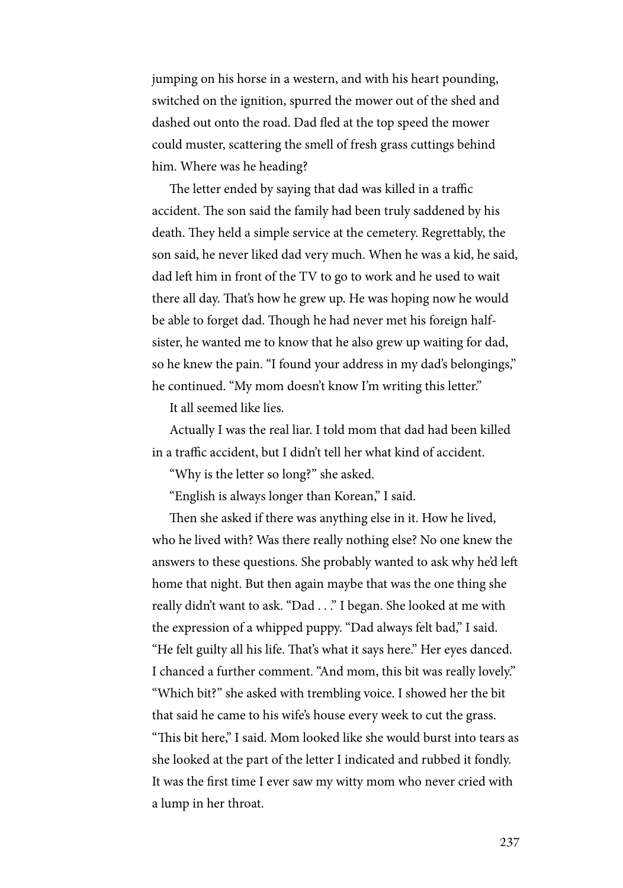jumping on his horse in a western, and with his heart pounding, switched on the ignition, spurred the mower out of the shed and dashed out onto the road. Dad fled at the top speed the mower could muster, scattering the smell of fresh grass cuttings behind him. Where was he heading?

The letter ended by saying that dad was killed in a traffic accident. The son said the family had been truly saddened by his death. They held a simple service at the cemetery. Regrettably, the son said, he never liked dad very much. When he was a kid, he said, dad left him in front of the TV to go to work and he used to wait there all day. That's how he grew up. He was hoping now he would be able to forget dad. Though he had never met his foreign halfsister, he wanted me to know that he also grew up waiting for dad, so he knew the pain. "I found your address in my dad's belongings," he continued. "My mom doesn't know I'm writing this letter."

It all seemed like lies.

Actually I was the real liar. I told mom that dad had been killed in a traffic accident, but I didn't tell her what kind of accident.

"Why is the letter so long?" she asked.

"English is always longer than Korean," I said.

Then she asked if there was anything else in it. How he lived, who he lived with? Was there really nothing else? No one knew the answers to these questions. She probably wanted to ask why he'd left home that night. But then again maybe that was the one thing she really didn't want to ask. "Dad . . ." I began. She looked at me with the expression of a whipped puppy. "Dad always felt bad," I said. "He felt guilty all his life. That's what it says here." Her eyes danced. I chanced a further comment. "And mom, this bit was really lovely." "Which bit?" she asked with trembling voice. I showed her the bit that said he came to his wife's house every week to cut the grass. "This bit here," I said. Mom looked like she would burst into tears as she looked at the part of the letter I indicated and rubbed it fondly. It was the first time I ever saw my witty mom who never cried with a lump in her throat.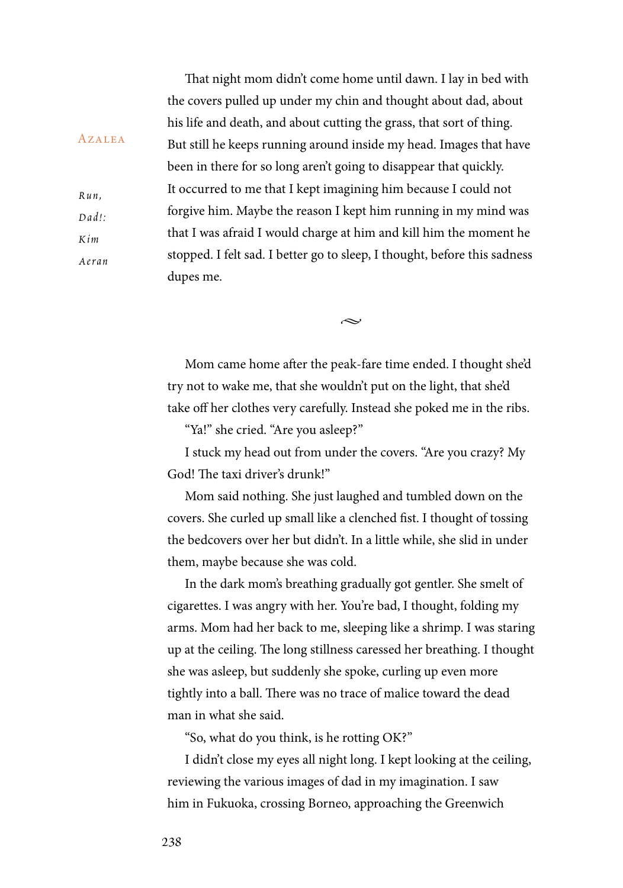That night mom didn't come home until dawn. I lay in bed with the covers pulled up under my chin and thought about dad, about his life and death, and about cutting the grass, that sort of thing. But still he keeps running around inside my head. Images that have been in there for so long aren't going to disappear that quickly. It occurred to me that I kept imagining him because I could not forgive him. Maybe the reason I kept him running in my mind was that I was afraid I would charge at him and kill him the moment he stopped. I felt sad. I better go to sleep, I thought, before this sadness dupes me.

Mom came home after the peak-fare time ended. I thought she'd try not to wake me, that she wouldn't put on the light, that she'd take off her clothes very carefully. Instead she poked me in the ribs.

بحہ

"Ya!" she cried. "Are you asleep?"

I stuck my head out from under the covers. "Are you crazy? My God! The taxi driver's drunk!"

Mom said nothing. She just laughed and tumbled down on the covers. She curled up small like a clenched fist. I thought of tossing the bedcovers over her but didn't. In a little while, she slid in under them, maybe because she was cold.

In the dark mom's breathing gradually got gentler. She smelt of cigarettes. I was angry with her. You're bad, I thought, folding my arms. Mom had her back to me, sleeping like a shrimp. I was staring up at the ceiling. The long stillness caressed her breathing. I thought she was asleep, but suddenly she spoke, curling up even more tightly into a ball. There was no trace of malice toward the dead man in what she said.

"So, what do you think, is he rotting OK?"

I didn't close my eyes all night long. I kept looking at the ceiling, reviewing the various images of dad in my imagination. I saw him in Fukuoka, crossing Borneo, approaching the Greenwich

*Ru n ,*   $D$ *ad !* : *K i m Ae r a n*